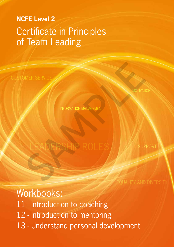# **NCFE Level 2** Certificate in Principles of Team Leading

CUSTOMER SERVICE

**MOTIVATION** 

INFORMATION MANAGEMENT

# LEADERSHIP ROLES WER SERVICE

**SUPPORT** 

**EQUALITY AND DIVERSITY** 

Workbooks: 11 - Introduction to coaching 12 - Introduction to mentoring 13 - Understand personal development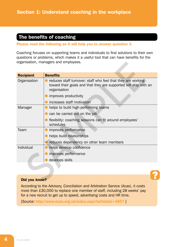# The benefits of coaching

Please read the following as it will help you to answer question 3.

Coaching focuses on supporting teams and individuals to find solutions to their own questions or problems, which makes it a useful tool that can have benefits for the organisation, managers and employees.

| organisation, managers and employees. |                                                                                                                                                  |  |
|---------------------------------------|--------------------------------------------------------------------------------------------------------------------------------------------------|--|
| <b>Recipient</b>                      | <b>Benefits</b>                                                                                                                                  |  |
| Organisation                          | reduces staff turnover: staff who feel that they are working<br>toward their goals and that they are supported will stay with an<br>organisation |  |
|                                       | improves productivity                                                                                                                            |  |
|                                       | increases staff motivation                                                                                                                       |  |
| Manager                               | helps to build high-performing teams                                                                                                             |  |
|                                       | can be carried out on the job                                                                                                                    |  |
|                                       | flexibility: coaching sessions can fit around employees'<br>schedules                                                                            |  |
| Team                                  | improves performance                                                                                                                             |  |
|                                       | helps build relationships                                                                                                                        |  |
|                                       | reduces dependency on other team members                                                                                                         |  |
| Individual                            | helps develop confidence                                                                                                                         |  |
|                                       | improves performance                                                                                                                             |  |
|                                       | develops skills                                                                                                                                  |  |
|                                       |                                                                                                                                                  |  |
|                                       |                                                                                                                                                  |  |
| Did you know?                         |                                                                                                                                                  |  |

#### Did you know?

According to the Advisory, Conciliation and Arbitration Service (Acas), it costs more than £30,000 to replace one member of staff, including 28 weeks' pay for a new recruit to get up to speed, advertising costs and HR time.

[Source: http://www.acas.org.uk/index.aspx?articleid=4857 ]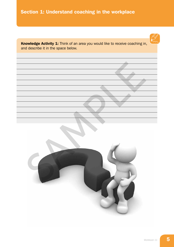# Section 1: Understand coaching in the workplace



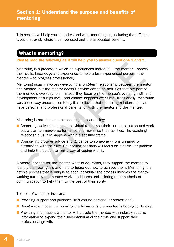This section will help you to understand what mentoring is, including the different types that exist, where it can be used and the associated benefits.

# What is mentoring?

Please read the following as it will help you to answer questions 1 and 2.

Mentoring is a process in which an experienced individual – the mentor – shares their skills, knowledge and experience to help a less experienced person – the mentee – to progress professionally.

Mentoring usually involves developing a long-term relationship between the mentor and mentee, but the mentor doesn't provide advice on activities that are part of the mentee's everyday role. Instead they focus on the mentee's overall growth and development at a high level, and change happens over time. Traditionally, mentoring was a one-way process, but today it is believed that mentoring relationships can have personal and professional benefits for both the mentor and the mentee. boring is a process in which an experienced individual – the mentor – shares is in which an experienced individual – the mentor – shares is whils, knowledge and experience to help a less experienced person – the skills, kn

Mentoring is not the same as coaching or counselling:

- Coaching involves helping an individual to analyse their current situation and work out a plan to improve performance and maximise their abilities. The coaching relationship usually happens within a set time frame.
- Counselling provides advice and guidance to someone who is unhappy or dissatisfied with their life. Counselling sessions will focus on a particular problem and help the person to find a way of coping with it.

A mentor doesn't tell the mentee what to do; rather, they support the mentee to identify their own goals and help to figure out how to achieve them. Mentoring is a flexible process that is unique to each individual; the process involves the mentor working out how the mentee works and learns and tailoring their methods of communication to help them to the best of their ability.

The role of a mentor involves:

- **•** Providing support and guidance: this can be personal or professional.
- **•** Being a role model: i.e. showing the behaviours the mentee is hoping to develop.
- **•** Providing information: a mentor will provide the mentee with industry-specific information to expand their understanding of their role and support their professional growth.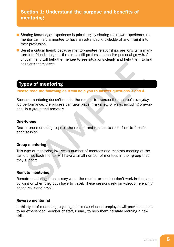# Section 1: Understand the purpose and benefits of mentoring

- Sharing knowledge: experience is priceless; by sharing their own experience, the mentor can help a mentee to have an advanced knowledge of and insight into their profession.
- Being a critical friend: because mentor-mentee relationships are long term many turn into friendships, but the aim is still professional and/or personal growth. A critical friend will help the mentee to see situations clearly and help them to find solutions themselves.

# Types of mentoring

Please read the following as it will help you to answer questions 3 and 4.

Because mentoring doesn't require the mentor to oversee the mentee's everyday job performance, the process can take place in a variety of ways, including one-onone, in a group and remotely.

#### One-to-one

One-to-one mentoring requires the mentor and mentee to meet face-to-face for each session.

#### Group mentoring

This type of mentoring involves a number of mentees and mentors meeting at the same time. Each mentor will have a small number of mentees in their group that they support. So the following as it will help you to answer questions 3 and 4.<br>
So read the following as it will help you to answer questions 3 and 4.<br>
So read the following as it will help you to answer questions 3 and 4.<br>
Let the men

#### Remote mentoring

Remote mentoring is necessary when the mentor or mentee don't work in the same building or when they both have to travel. These sessions rely on videoconferencing, phone calls and email.

#### Reverse mentoring

In this type of mentoring, a younger, less experienced employee will provide support to an experienced member of staff, usually to help them navigate learning a new skill.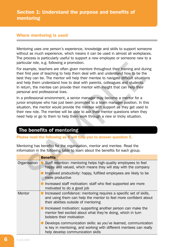# Where mentoring is used

Mentoring uses one person's experience, knowledge and skills to support someone without as much experience, which means it can be used in almost all workplaces. The process is particularly useful to support a new employee or someone new to a particular role, e.g. following a promotion.

# The benefits of mentoring

## Please read the following as it will help you to answer question 5.

|              | particular role, e.g. following a promotion.                                                                                                                                                                                                                                                                                                                                                                                                                         |
|--------------|----------------------------------------------------------------------------------------------------------------------------------------------------------------------------------------------------------------------------------------------------------------------------------------------------------------------------------------------------------------------------------------------------------------------------------------------------------------------|
|              | For example, teachers are often given mentors throughout their training and during<br>their first year of teaching to help them deal with and understand how to be the<br>best they can be. The mentor will help their mentee to navigate difficult situations<br>and help them understand how to deal with parents, colleagues and students.<br>In return, the mentee can provide their mentor with insight that can help their<br>personal and professional lives. |
|              | In a professional environment, a senior manager may become a mentor for a<br>junior employee who has just been promoted to a team manager position. In this<br>situation, the mentor would provide the mentee with support as they get used to<br>their new role. The mentee will be able to ask their mentor questions when they<br>need help or go to them to help them work through a new or tricky situation.                                                    |
|              | The benefits of mentoring                                                                                                                                                                                                                                                                                                                                                                                                                                            |
|              | Please read the following as it will help you to answer question 5.                                                                                                                                                                                                                                                                                                                                                                                                  |
|              | Mentoring has benefits for the organisation, mentor and mentee. Read the<br>information in the following table to learn about the benefits for each group.                                                                                                                                                                                                                                                                                                           |
|              | <b>Benefits</b>                                                                                                                                                                                                                                                                                                                                                                                                                                                      |
| Organisation | • Staff retention: mentoring helps high-quality employees to feel<br>happy and valued, which means they will stay with the company<br>• Improved productivity: happy, fulfilled employees are likely to be<br>more productive                                                                                                                                                                                                                                        |
|              | Increased staff motivation: staff who feel supported are more<br>motivated to do a good job                                                                                                                                                                                                                                                                                                                                                                          |
| Mentor       | Increased confidence: mentoring requires a specific set of skills,<br>and using them can help the mentor to feel more confident about<br>their abilities outside of mentoring                                                                                                                                                                                                                                                                                        |
|              | Increased motivation: supporting another person can make the<br>mentor feel excited about what they're doing, which in turn<br>bolsters their motivation                                                                                                                                                                                                                                                                                                             |
|              | Develops communication skills: as you've learned, communication<br>is key in mentoring, and working with different mentees can really<br>help develop communication skills                                                                                                                                                                                                                                                                                           |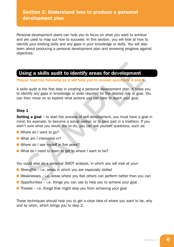# Section 2: Understand how to produce a personal development plan

Personal development plans can help you to focus on what you want to achieve and are used to map out how to succeed. In this section, you will look at how to identify your existing skills and any gaps in your knowledge or skills. You will also learn about producing a personal development plan and reviewing progress against objectives.

# Using a skills audit to identify areas for development

#### Please read the following as it will help you to answer questions 4 and 5.

A skills audit is the first step in creating a personal development plan. It helps you to identify any gaps in knowledge or skills required for the desired role or goal. You can then move on to explore what actions you can take to reach your goal. **Solution Example 10 Conserved Conserved Conserved Conserved Conserved Conserved Conserved Conserved Conserved Conserved Conserved Conserved Conserved Conserved Conserved Conserved Conserved Conserved Conserved Conserv** 

#### Step 1

**Setting a goal** – to start the process of self-development, you must have a goal in mind; for example, to become a social worker, or to take part in a triathlon. If you aren't sure what you would like to do, you can ask yourself questions, such as:

- Where do I want to go?
- What am I interested in?
- Where do I see myself in five years?
- What do I need to learn to get to where I want to be?

You could also do a personal SWOT analysis, in which you will look at your:

- **•** Strengths i.e. areas in which you are especially skilled
- $\bullet$  Weaknesses i.e. areas where you feel others can perform better than you can
- $\bullet$  Opportunities i.e. things you can use to help you to achieve your goal
- $\bullet$  Threats i.e. things that might stop you from achieving your goal

These techniques should help you to get a clear idea of where you want to be, why and by when, which brings you to step 2.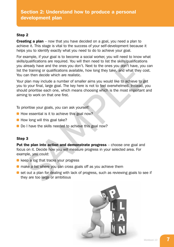# Section 2: Understand how to produce a personal development plan

# Step 2

**Creating a plan** – now that you have decided on a goal, you need a plan to achieve it. This stage is vital to the success of your self-development because it helps you to identify exactly what you need to do to achieve your goal.

For example, if your goal is to become a social worker, you will need to know what skills/qualifications are required. You will then need to list the skills/qualifications you already have and the ones you don't. Next to the ones you don't have, you can list the training or qualifications available, how long they take, and what they cost. You can then decide which are realistic.

Your plan may include a number of smaller aims you would like to achieve to get you to your final, large goal. The key here is not to feel overwhelmed. Instead, you should prioritise each one, which means choosing which is the most important and aiming to work on that one first. instructuations are required. Tot will then need to list the skinlyqualinications<br>at a largedy have and the ones you don't. Next to the ones you don't have, you<br>the training or qualifications available, how long they take,

To prioritise your goals, you can ask yourself:

- How essential is it to achieve this goal now?
- How long will this goal take?
- Do I have the skills needed to achieve this goal now?

## Step 3

Put the plan into action and demonstrate progress - choose one goal and focus on it. Decide how you will measure progress in your selected area. For example, you could:

- keep a log that tracks your progress
- make a list where you can cross goals off as you achieve them
- **•** set out a plan for dealing with lack of progress, such as reviewing goals to see if